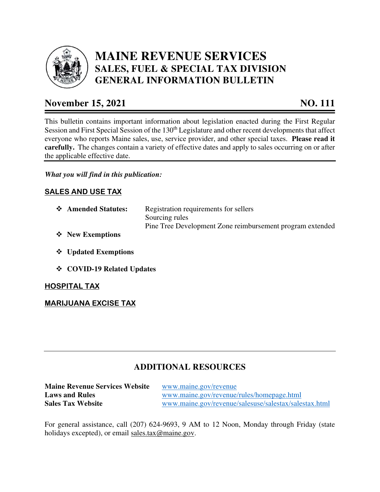

# **MAINE REVENUE SERVICES SALES, FUEL & SPECIAL TAX DIVISION GENERAL INFORMATION BULLETIN**

# **November 15, 2021 NO. 111**

This bulletin contains important information about legislation enacted during the First Regular Session and First Special Session of the 130<sup>th</sup> Legislature and other recent developments that affect everyone who reports Maine sales, use, service provider, and other special taxes. **Please read it carefully.** The changes contain a variety of effective dates and apply to sales occurring on or after the applicable effective date.

### *What you will find in this publication:*

## **SALES AND USE TAX**

- **Amended Statutes:** Registration requirements for sellers Sourcing rules Pine Tree Development Zone reimbursement program extended
- **New Exemptions**
- **Updated Exemptions**
- **COVID-19 Related Updates**

#### **HOSPITAL TAX**

#### **MARIJUANA EXCISE TAX**

## **ADDITIONAL RESOURCES**

**Maine Revenue Services Website** www.maine.gov/revenue **Laws and Rules** www.maine.gov/revenue/rules/homepage.html **Sales Tax Website** www.maine.gov/revenue/salesuse/salestax/salestax.html

For general assistance, call (207) 624-9693, 9 AM to 12 Noon, Monday through Friday (state holidays excepted), or email sales.tax@maine.gov.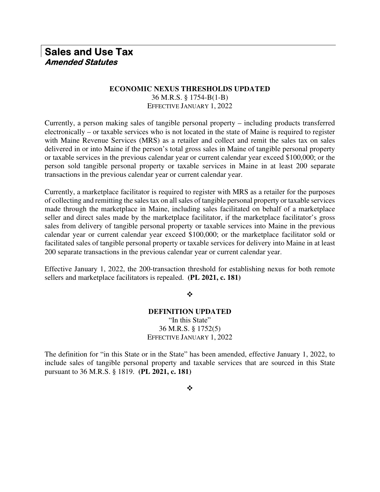## **Sales and Use Tax Amended Statutes**

#### **ECONOMIC NEXUS THRESHOLDS UPDATED**

36 M.R.S. § 1754-B(1-B) EFFECTIVE JANUARY 1, 2022

Currently, a person making sales of tangible personal property – including products transferred electronically – or taxable services who is not located in the state of Maine is required to register with Maine Revenue Services (MRS) as a retailer and collect and remit the sales tax on sales delivered in or into Maine if the person's total gross sales in Maine of tangible personal property or taxable services in the previous calendar year or current calendar year exceed \$100,000; or the person sold tangible personal property or taxable services in Maine in at least 200 separate transactions in the previous calendar year or current calendar year.

Currently, a marketplace facilitator is required to register with MRS as a retailer for the purposes of collecting and remitting the sales tax on all sales of tangible personal property or taxable services made through the marketplace in Maine, including sales facilitated on behalf of a marketplace seller and direct sales made by the marketplace facilitator, if the marketplace facilitator's gross sales from delivery of tangible personal property or taxable services into Maine in the previous calendar year or current calendar year exceed \$100,000; or the marketplace facilitator sold or facilitated sales of tangible personal property or taxable services for delivery into Maine in at least 200 separate transactions in the previous calendar year or current calendar year.

Effective January 1, 2022, the 200-transaction threshold for establishing nexus for both remote sellers and marketplace facilitators is repealed. **(PL 2021, c. 181)** 

❖

#### **DEFINITION UPDATED**  "In this State" 36 M.R.S. § 1752(5) EFFECTIVE JANUARY 1, 2022

The definition for "in this State or in the State" has been amended, effective January 1, 2022, to include sales of tangible personal property and taxable services that are sourced in this State pursuant to 36 M.R.S. § 1819. **(PL 2021, c. 181)**

❖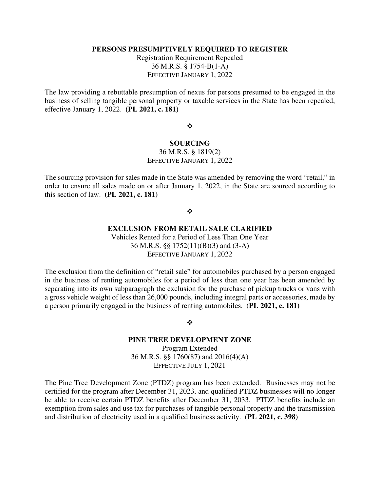#### **PERSONS PRESUMPTIVELY REQUIRED TO REGISTER**

Registration Requirement Repealed 36 M.R.S. § 1754-B(1-A) EFFECTIVE JANUARY 1, 2022

The law providing a rebuttable presumption of nexus for persons presumed to be engaged in the business of selling tangible personal property or taxable services in the State has been repealed, effective January 1, 2022. **(PL 2021, c. 181)** 

#### ❖

#### **SOURCING**  36 M.R.S. § 1819(2)

EFFECTIVE JANUARY 1, 2022

The sourcing provision for sales made in the State was amended by removing the word "retail," in order to ensure all sales made on or after January 1, 2022, in the State are sourced according to this section of law. **(PL 2021, c. 181)** 

#### ❖

#### **EXCLUSION FROM RETAIL SALE CLARIFIED**

Vehicles Rented for a Period of Less Than One Year 36 M.R.S. §§ 1752(11)(B)(3) and (3-A) EFFECTIVE JANUARY 1, 2022

The exclusion from the definition of "retail sale" for automobiles purchased by a person engaged in the business of renting automobiles for a period of less than one year has been amended by separating into its own subparagraph the exclusion for the purchase of pickup trucks or vans with a gross vehicle weight of less than 26,000 pounds, including integral parts or accessories, made by a person primarily engaged in the business of renting automobiles. (**PL 2021, c. 181)** 

#### ❖

#### **PINE TREE DEVELOPMENT ZONE**

Program Extended 36 M.R.S. §§ 1760(87) and 2016(4)(A) EFFECTIVE JULY 1, 2021

The Pine Tree Development Zone (PTDZ) program has been extended. Businesses may not be certified for the program after December 31, 2023, and qualified PTDZ businesses will no longer be able to receive certain PTDZ benefits after December 31, 2033. PTDZ benefits include an exemption from sales and use tax for purchases of tangible personal property and the transmission and distribution of electricity used in a qualified business activity. (**PL 2021, c. 398)**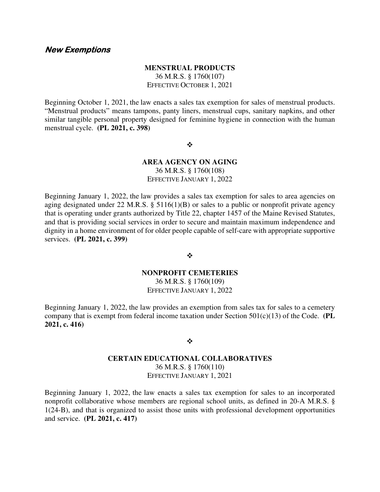#### **New Exemptions**

#### **MENSTRUAL PRODUCTS**

36 M.R.S. § 1760(107) EFFECTIVE OCTOBER 1, 2021

Beginning October 1, 2021, the law enacts a sales tax exemption for sales of menstrual products. "Menstrual products" means tampons, panty liners, menstrual cups, sanitary napkins, and other similar tangible personal property designed for feminine hygiene in connection with the human menstrual cycle. **(PL 2021, c. 398)** 

 $\cdot$ 

#### **AREA AGENCY ON AGING**  36 M.R.S. § 1760(108) EFFECTIVE JANUARY 1, 2022

Beginning January 1, 2022, the law provides a sales tax exemption for sales to area agencies on aging designated under 22 M.R.S. § 5116(1)(B) or sales to a public or nonprofit private agency that is operating under grants authorized by Title 22, chapter 1457 of the Maine Revised Statutes, and that is providing social services in order to secure and maintain maximum independence and dignity in a home environment of for older people capable of self-care with appropriate supportive services. **(PL 2021, c. 399)**

❖

#### **NONPROFIT CEMETERIES**

36 M.R.S. § 1760(109) EFFECTIVE JANUARY 1, 2022

Beginning January 1, 2022, the law provides an exemption from sales tax for sales to a cemetery company that is exempt from federal income taxation under Section 501(c)(13) of the Code. **(PL 2021, c. 416)** 

#### ❖

#### **CERTAIN EDUCATIONAL COLLABORATIVES**  36 M.R.S. § 1760(110) EFFECTIVE JANUARY 1, 2021

Beginning January 1, 2022, the law enacts a sales tax exemption for sales to an incorporated nonprofit collaborative whose members are regional school units, as defined in 20-A M.R.S. § 1(24-B), and that is organized to assist those units with professional development opportunities and service. **(PL 2021, c. 417)**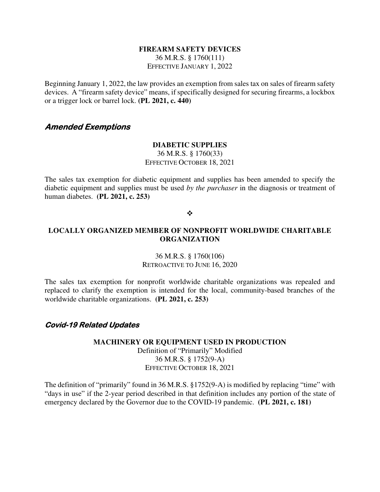#### **FIREARM SAFETY DEVICES**

36 M.R.S. § 1760(111) EFFECTIVE JANUARY 1, 2022

Beginning January 1, 2022, the law provides an exemption from sales tax on sales of firearm safety devices. A "firearm safety device" means, if specifically designed for securing firearms, a lockbox or a trigger lock or barrel lock. **(PL 2021, c. 440)**

### **Amended Exemptions**

#### **DIABETIC SUPPLIES**

36 M.R.S. § 1760(33) EFFECTIVE OCTOBER 18, 2021

The sales tax exemption for diabetic equipment and supplies has been amended to specify the diabetic equipment and supplies must be used *by the purchaser* in the diagnosis or treatment of human diabetes. **(PL 2021, c. 253)** 

#### ❖

#### **LOCALLY ORGANIZED MEMBER OF NONPROFIT WORLDWIDE CHARITABLE ORGANIZATION**

#### 36 M.R.S. § 1760(106) RETROACTIVE TO JUNE 16, 2020

The sales tax exemption for nonprofit worldwide charitable organizations was repealed and replaced to clarify the exemption is intended for the local, community-based branches of the worldwide charitable organizations. **(PL 2021, c. 253)** 

#### **Covid-19 Related Updates**

#### **MACHINERY OR EQUIPMENT USED IN PRODUCTION**  Definition of "Primarily" Modified 36 M.R.S. § 1752(9-A) EFFECTIVE OCTOBER 18, 2021

The definition of "primarily" found in 36 M.R.S. §1752(9-A) is modified by replacing "time" with "days in use" if the 2-year period described in that definition includes any portion of the state of emergency declared by the Governor due to the COVID-19 pandemic. **(PL 2021, c. 181)**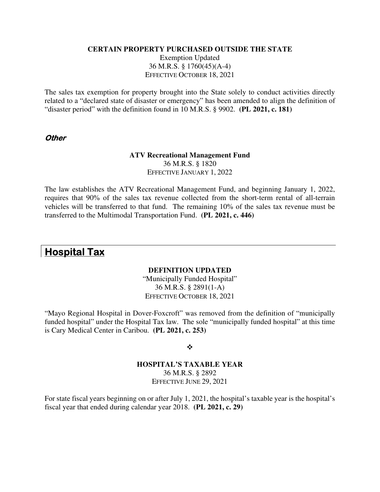#### **CERTAIN PROPERTY PURCHASED OUTSIDE THE STATE**

Exemption Updated 36 M.R.S. § 1760(45)(A-4) EFFECTIVE OCTOBER 18, 2021

The sales tax exemption for property brought into the State solely to conduct activities directly related to a "declared state of disaster or emergency" has been amended to align the definition of "disaster period" with the definition found in 10 M.R.S. § 9902. **(PL 2021, c. 181)** 

#### **Other**

#### **ATV Recreational Management Fund**  36 M.R.S. § 1820 EFFECTIVE JANUARY 1, 2022

The law establishes the ATV Recreational Management Fund, and beginning January 1, 2022, requires that 90% of the sales tax revenue collected from the short-term rental of all-terrain vehicles will be transferred to that fund. The remaining 10% of the sales tax revenue must be transferred to the Multimodal Transportation Fund. **(PL 2021, c. 446)** 

## **Hospital Tax**

#### **DEFINITION UPDATED**

"Municipally Funded Hospital" 36 M.R.S. § 2891(1-A) EFFECTIVE OCTOBER 18, 2021

"Mayo Regional Hospital in Dover-Foxcroft" was removed from the definition of "municipally funded hospital" under the Hospital Tax law. The sole "municipally funded hospital" at this time is Cary Medical Center in Caribou. **(PL 2021, c. 253)** 

#### ❖

#### **HOSPITAL'S TAXABLE YEAR**  36 M.R.S. § 2892 EFFECTIVE JUNE 29, 2021

For state fiscal years beginning on or after July 1, 2021, the hospital's taxable year is the hospital's fiscal year that ended during calendar year 2018. **(PL 2021, c. 29)**